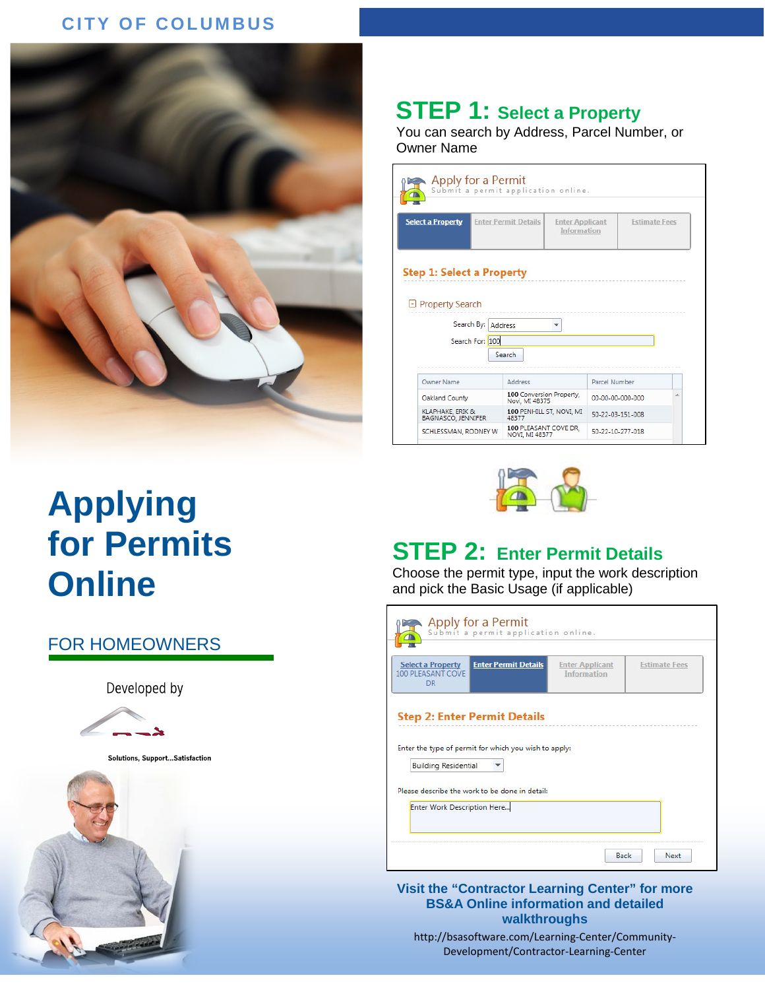#### **CITY OF COLUMBUS**



## **STEP 1: Select a Property**

You can search by Address, Parcel Number, or Owner Name

| Apply for a Permit                     |                             | Submit a permit application online.        |                                       |                  |                      |
|----------------------------------------|-----------------------------|--------------------------------------------|---------------------------------------|------------------|----------------------|
| <b>Select a Property</b>               | <b>Enter Permit Details</b> |                                            | <b>Enter Applicant</b><br>Information |                  | <b>Estimate Fees</b> |
| <b>Step 1: Select a Property</b>       |                             |                                            |                                       |                  |                      |
| <b>D</b> Property Search<br>Search By: | Search For: 100             | Address<br>Search                          |                                       |                  |                      |
| <b>Owner Name</b>                      |                             | Address                                    |                                       | Parcel Number    |                      |
| Oakland County                         |                             | 100 Conversion Property,<br>Novi, MI 48375 |                                       | 00-00-00-000-000 | ۸                    |
| KLAPHAKE, ERIK &<br>BAGNASCO, JENNIFER |                             | 100 PENHILL ST, NOVI, MI<br>48377          |                                       | 50-22-03-151-008 |                      |

# **Applying for Permits Online**

#### FOR HOMEOWNERS

Developed by



Solutions, Support... Satisfaction





## **STEP 2: Enter Permit Details**

Choose the permit type, input the work description and pick the Basic Usage (if applicable)

| <b>Enter Permit Details</b><br><b>Select a Property</b><br>100 PLEASANT COVE<br><b>DR</b> | <b>Enter Applicant</b><br><b>Information</b> | <b>Estimate Fees</b> |
|-------------------------------------------------------------------------------------------|----------------------------------------------|----------------------|
| <b>Step 2: Enter Permit Details</b>                                                       |                                              |                      |
|                                                                                           |                                              |                      |
| Enter the type of permit for which you wish to apply:<br><b>Building Residential</b>      |                                              |                      |
| Please describe the work to be done in detail:                                            |                                              |                      |
| Enter Work Description Here                                                               |                                              |                      |

**Visit the "Contractor Learning Center" for more BS&A Online information and detailed walkthroughs**

http://bsasoftware.com/Learning-Center/Community-Development/Contractor-Learning-Center